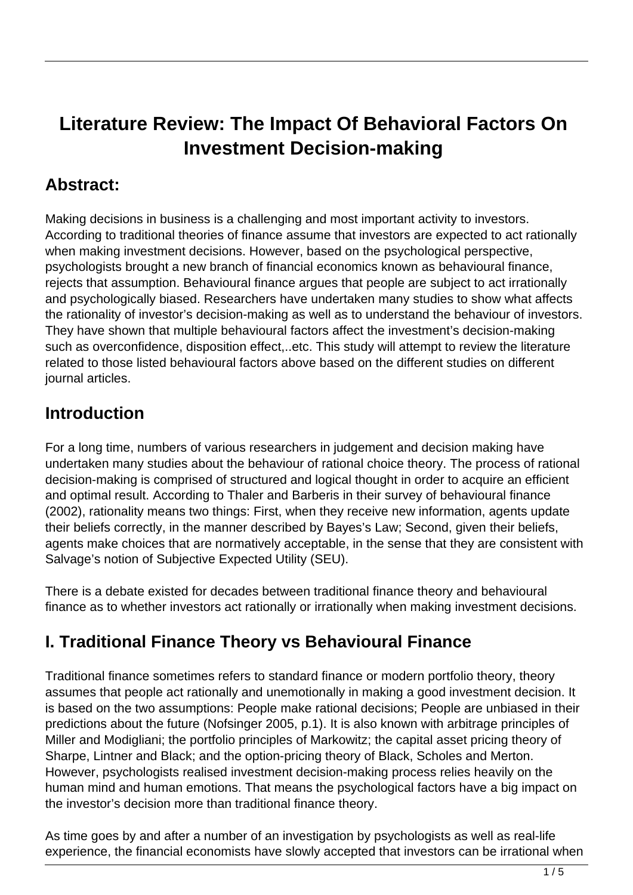# **Literature Review: The Impact Of Behavioral Factors On Investment Decision-making**

### **Abstract:**

Making decisions in business is a challenging and most important activity to investors. According to traditional theories of finance assume that investors are expected to act rationally when making investment decisions. However, based on the psychological perspective, psychologists brought a new branch of financial economics known as behavioural finance, rejects that assumption. Behavioural finance argues that people are subject to act irrationally and psychologically biased. Researchers have undertaken many studies to show what affects the rationality of investor's decision-making as well as to understand the behaviour of investors. They have shown that multiple behavioural factors affect the investment's decision-making such as overconfidence, disposition effect,..etc. This study will attempt to review the literature related to those listed behavioural factors above based on the different studies on different journal articles.

### **Introduction**

For a long time, numbers of various researchers in judgement and decision making have undertaken many studies about the behaviour of rational choice theory. The process of rational decision-making is comprised of structured and logical thought in order to acquire an efficient and optimal result. According to Thaler and Barberis in their survey of behavioural finance (2002), rationality means two things: First, when they receive new information, agents update their beliefs correctly, in the manner described by Bayes's Law; Second, given their beliefs, agents make choices that are normatively acceptable, in the sense that they are consistent with Salvage's notion of Subjective Expected Utility (SEU).

There is a debate existed for decades between traditional finance theory and behavioural finance as to whether investors act rationally or irrationally when making investment decisions.

# **I. Traditional Finance Theory vs Behavioural Finance**

Traditional finance sometimes refers to standard finance or modern portfolio theory, theory assumes that people act rationally and unemotionally in making a good investment decision. It is based on the two assumptions: People make rational decisions; People are unbiased in their predictions about the future (Nofsinger 2005, p.1). It is also known with arbitrage principles of Miller and Modigliani; the portfolio principles of Markowitz; the capital asset pricing theory of Sharpe, Lintner and Black; and the option-pricing theory of Black, Scholes and Merton. However, psychologists realised investment decision-making process relies heavily on the human mind and human emotions. That means the psychological factors have a big impact on the investor's decision more than traditional finance theory.

As time goes by and after a number of an investigation by psychologists as well as real-life experience, the financial economists have slowly accepted that investors can be irrational when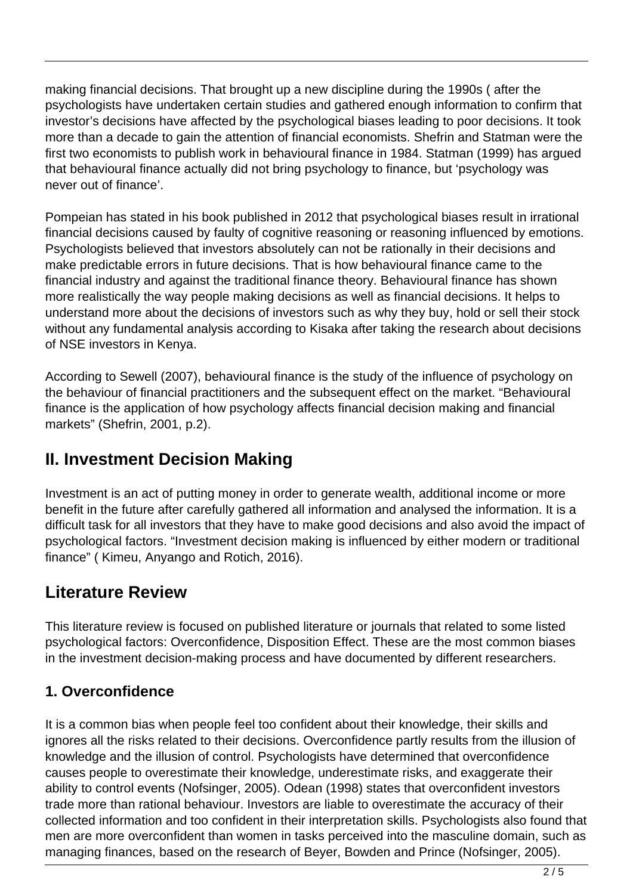making financial decisions. That brought up a new discipline during the 1990s ( after the psychologists have undertaken certain studies and gathered enough information to confirm that investor's decisions have affected by the psychological biases leading to poor decisions. It took more than a decade to gain the attention of financial economists. Shefrin and Statman were the first two economists to publish work in behavioural finance in 1984. Statman (1999) has argued that behavioural finance actually did not bring psychology to finance, but 'psychology was never out of finance'.

Pompeian has stated in his book published in 2012 that psychological biases result in irrational financial decisions caused by faulty of cognitive reasoning or reasoning influenced by emotions. Psychologists believed that investors absolutely can not be rationally in their decisions and make predictable errors in future decisions. That is how behavioural finance came to the financial industry and against the traditional finance theory. Behavioural finance has shown more realistically the way people making decisions as well as financial decisions. It helps to understand more about the decisions of investors such as why they buy, hold or sell their stock without any fundamental analysis according to Kisaka after taking the research about decisions of NSE investors in Kenya.

According to Sewell (2007), behavioural finance is the study of the influence of psychology on the behaviour of financial practitioners and the subsequent effect on the market. "Behavioural finance is the application of how psychology affects financial decision making and financial markets" (Shefrin, 2001, p.2).

### **II. Investment Decision Making**

Investment is an act of putting money in order to generate wealth, additional income or more benefit in the future after carefully gathered all information and analysed the information. It is a difficult task for all investors that they have to make good decisions and also avoid the impact of psychological factors. "Investment decision making is influenced by either modern or traditional finance" ( Kimeu, Anyango and Rotich, 2016).

# **Literature Review**

This literature review is focused on published literature or journals that related to some listed psychological factors: Overconfidence, Disposition Effect. These are the most common biases in the investment decision-making process and have documented by different researchers.

#### **1. Overconfidence**

It is a common bias when people feel too confident about their knowledge, their skills and ignores all the risks related to their decisions. Overconfidence partly results from the illusion of knowledge and the illusion of control. Psychologists have determined that overconfidence causes people to overestimate their knowledge, underestimate risks, and exaggerate their ability to control events (Nofsinger, 2005). Odean (1998) states that overconfident investors trade more than rational behaviour. Investors are liable to overestimate the accuracy of their collected information and too confident in their interpretation skills. Psychologists also found that men are more overconfident than women in tasks perceived into the masculine domain, such as managing finances, based on the research of Beyer, Bowden and Prince (Nofsinger, 2005).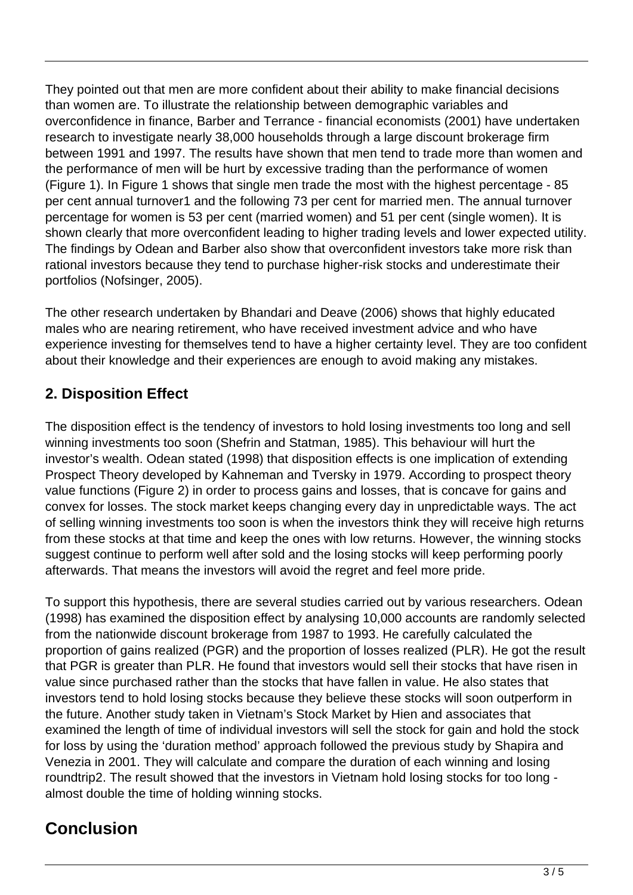They pointed out that men are more confident about their ability to make financial decisions than women are. To illustrate the relationship between demographic variables and overconfidence in finance, Barber and Terrance - financial economists (2001) have undertaken research to investigate nearly 38,000 households through a large discount brokerage firm between 1991 and 1997. The results have shown that men tend to trade more than women and the performance of men will be hurt by excessive trading than the performance of women (Figure 1). In Figure 1 shows that single men trade the most with the highest percentage - 85 per cent annual turnover1 and the following 73 per cent for married men. The annual turnover percentage for women is 53 per cent (married women) and 51 per cent (single women). It is shown clearly that more overconfident leading to higher trading levels and lower expected utility. The findings by Odean and Barber also show that overconfident investors take more risk than rational investors because they tend to purchase higher-risk stocks and underestimate their portfolios (Nofsinger, 2005).

The other research undertaken by Bhandari and Deave (2006) shows that highly educated males who are nearing retirement, who have received investment advice and who have experience investing for themselves tend to have a higher certainty level. They are too confident about their knowledge and their experiences are enough to avoid making any mistakes.

#### **2. Disposition Effect**

The disposition effect is the tendency of investors to hold losing investments too long and sell winning investments too soon (Shefrin and Statman, 1985). This behaviour will hurt the investor's wealth. Odean stated (1998) that disposition effects is one implication of extending Prospect Theory developed by Kahneman and Tversky in 1979. According to prospect theory value functions (Figure 2) in order to process gains and losses, that is concave for gains and convex for losses. The stock market keeps changing every day in unpredictable ways. The act of selling winning investments too soon is when the investors think they will receive high returns from these stocks at that time and keep the ones with low returns. However, the winning stocks suggest continue to perform well after sold and the losing stocks will keep performing poorly afterwards. That means the investors will avoid the regret and feel more pride.

To support this hypothesis, there are several studies carried out by various researchers. Odean (1998) has examined the disposition effect by analysing 10,000 accounts are randomly selected from the nationwide discount brokerage from 1987 to 1993. He carefully calculated the proportion of gains realized (PGR) and the proportion of losses realized (PLR). He got the result that PGR is greater than PLR. He found that investors would sell their stocks that have risen in value since purchased rather than the stocks that have fallen in value. He also states that investors tend to hold losing stocks because they believe these stocks will soon outperform in the future. Another study taken in Vietnam's Stock Market by Hien and associates that examined the length of time of individual investors will sell the stock for gain and hold the stock for loss by using the 'duration method' approach followed the previous study by Shapira and Venezia in 2001. They will calculate and compare the duration of each winning and losing roundtrip2. The result showed that the investors in Vietnam hold losing stocks for too long almost double the time of holding winning stocks.

### **Conclusion**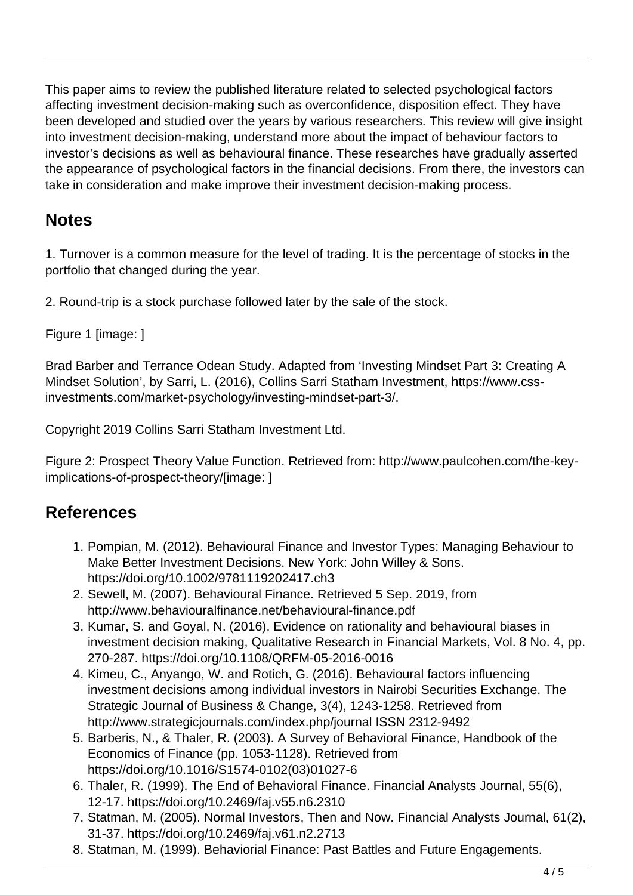This paper aims to review the published literature related to selected psychological factors affecting investment decision-making such as overconfidence, disposition effect. They have been developed and studied over the years by various researchers. This review will give insight into investment decision-making, understand more about the impact of behaviour factors to investor's decisions as well as behavioural finance. These researches have gradually asserted the appearance of psychological factors in the financial decisions. From there, the investors can take in consideration and make improve their investment decision-making process.

### **Notes**

1. Turnover is a common measure for the level of trading. It is the percentage of stocks in the portfolio that changed during the year.

2. Round-trip is a stock purchase followed later by the sale of the stock.

Figure 1 [image: ]

Brad Barber and Terrance Odean Study. Adapted from 'Investing Mindset Part 3: Creating A Mindset Solution', by Sarri, L. (2016), Collins Sarri Statham Investment, https://www.cssinvestments.com/market-psychology/investing-mindset-part-3/.

Copyright 2019 Collins Sarri Statham Investment Ltd.

Figure 2: Prospect Theory Value Function. Retrieved from: http://www.paulcohen.com/the-keyimplications-of-prospect-theory/[image: ]

### **References**

- 1. Pompian, M. (2012). Behavioural Finance and Investor Types: Managing Behaviour to Make Better Investment Decisions. New York: John Willey & Sons. https://doi.org/10.1002/9781119202417.ch3
- 2. Sewell, M. (2007). Behavioural Finance. Retrieved 5 Sep. 2019, from http://www.behaviouralfinance.net/behavioural-finance.pdf
- 3. Kumar, S. and Goyal, N. (2016). Evidence on rationality and behavioural biases in investment decision making, Qualitative Research in Financial Markets, Vol. 8 No. 4, pp. 270-287. https://doi.org/10.1108/QRFM-05-2016-0016
- 4. Kimeu, C., Anyango, W. and Rotich, G. (2016). Behavioural factors influencing investment decisions among individual investors in Nairobi Securities Exchange. The Strategic Journal of Business & Change, 3(4), 1243-1258. Retrieved from http://www.strategicjournals.com/index.php/journal ISSN 2312-9492
- 5. Barberis, N., & Thaler, R. (2003). A Survey of Behavioral Finance, Handbook of the Economics of Finance (pp. 1053-1128). Retrieved from https://doi.org/10.1016/S1574-0102(03)01027-6
- 6. Thaler, R. (1999). The End of Behavioral Finance. Financial Analysts Journal, 55(6), 12-17. https://doi.org/10.2469/faj.v55.n6.2310
- 7. Statman, M. (2005). Normal Investors, Then and Now. Financial Analysts Journal, 61(2), 31-37. https://doi.org/10.2469/faj.v61.n2.2713
- 8. Statman, M. (1999). Behaviorial Finance: Past Battles and Future Engagements.